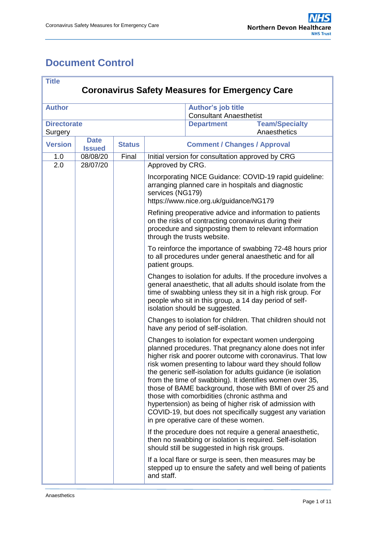# <span id="page-0-0"></span>**Document Control**

| <b>Title</b>                                          |                              |               |                                                                                                                                                                                                                                                                                                                                                                                                                                                                                                                                                                                                                                                |  |  |  |  |
|-------------------------------------------------------|------------------------------|---------------|------------------------------------------------------------------------------------------------------------------------------------------------------------------------------------------------------------------------------------------------------------------------------------------------------------------------------------------------------------------------------------------------------------------------------------------------------------------------------------------------------------------------------------------------------------------------------------------------------------------------------------------------|--|--|--|--|
| <b>Coronavirus Safety Measures for Emergency Care</b> |                              |               |                                                                                                                                                                                                                                                                                                                                                                                                                                                                                                                                                                                                                                                |  |  |  |  |
| <b>Author</b>                                         |                              |               | Author's job title<br><b>Consultant Anaesthetist</b>                                                                                                                                                                                                                                                                                                                                                                                                                                                                                                                                                                                           |  |  |  |  |
| <b>Directorate</b><br>Surgery                         |                              |               | <b>Team/Specialty</b><br><b>Department</b><br>Anaesthetics                                                                                                                                                                                                                                                                                                                                                                                                                                                                                                                                                                                     |  |  |  |  |
| <b>Version</b>                                        | <b>Date</b><br><b>Issued</b> | <b>Status</b> | <b>Comment / Changes / Approval</b>                                                                                                                                                                                                                                                                                                                                                                                                                                                                                                                                                                                                            |  |  |  |  |
| 1.0                                                   | 08/08/20                     | Final         | Initial version for consultation approved by CRG                                                                                                                                                                                                                                                                                                                                                                                                                                                                                                                                                                                               |  |  |  |  |
| 2.0                                                   | 28/07/20                     |               | Approved by CRG.                                                                                                                                                                                                                                                                                                                                                                                                                                                                                                                                                                                                                               |  |  |  |  |
|                                                       |                              |               | Incorporating NICE Guidance: COVID-19 rapid guideline:<br>arranging planned care in hospitals and diagnostic<br>services (NG179)<br>https://www.nice.org.uk/guidance/NG179                                                                                                                                                                                                                                                                                                                                                                                                                                                                     |  |  |  |  |
|                                                       |                              |               | Refining preoperative advice and information to patients<br>on the risks of contracting coronavirus during their<br>procedure and signposting them to relevant information<br>through the trusts website.                                                                                                                                                                                                                                                                                                                                                                                                                                      |  |  |  |  |
|                                                       |                              |               | To reinforce the importance of swabbing 72-48 hours prior<br>to all procedures under general anaesthetic and for all<br>patient groups.                                                                                                                                                                                                                                                                                                                                                                                                                                                                                                        |  |  |  |  |
|                                                       |                              |               | Changes to isolation for adults. If the procedure involves a<br>general anaesthetic, that all adults should isolate from the<br>time of swabbing unless they sit in a high risk group. For<br>people who sit in this group, a 14 day period of self-<br>isolation should be suggested.                                                                                                                                                                                                                                                                                                                                                         |  |  |  |  |
|                                                       |                              |               | Changes to isolation for children. That children should not<br>have any period of self-isolation.                                                                                                                                                                                                                                                                                                                                                                                                                                                                                                                                              |  |  |  |  |
|                                                       |                              |               | Changes to isolation for expectant women undergoing<br>planned procedures. That pregnancy alone does not infer<br>higher risk and poorer outcome with coronavirus. That low<br>risk women presenting to labour ward they should follow<br>the generic self-isolation for adults guidance (ie isolation<br>from the time of swabbing). It identifies women over 35,<br>those of BAME background, those with BMI of over 25 and<br>those with comorbidities (chronic asthma and<br>hypertension) as being of higher risk of admission with<br>COVID-19, but does not specifically suggest any variation<br>in pre operative care of these women. |  |  |  |  |
|                                                       |                              |               | If the procedure does not require a general anaesthetic,<br>then no swabbing or isolation is required. Self-isolation<br>should still be suggested in high risk groups.                                                                                                                                                                                                                                                                                                                                                                                                                                                                        |  |  |  |  |
|                                                       |                              |               | If a local flare or surge is seen, then measures may be<br>stepped up to ensure the safety and well being of patients<br>and staff.                                                                                                                                                                                                                                                                                                                                                                                                                                                                                                            |  |  |  |  |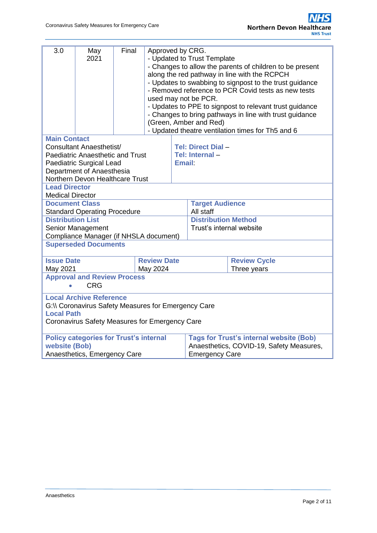| 3.0                                                                                                                                                          | May<br>2021                             | Final | Approved by CRG.<br>- Updated to Trust Template<br>- Changes to allow the parents of children to be present<br>along the red pathway in line with the RCPCH<br>- Updates to swabbing to signpost to the trust guidance<br>- Removed reference to PCR Covid tests as new tests<br>used may not be PCR.<br>- Updates to PPE to signpost to relevant trust guidance<br>- Changes to bring pathways in line with trust guidance<br>(Green, Amber and Red) |  |                                                                                                                     |                     |  |
|--------------------------------------------------------------------------------------------------------------------------------------------------------------|-----------------------------------------|-------|-------------------------------------------------------------------------------------------------------------------------------------------------------------------------------------------------------------------------------------------------------------------------------------------------------------------------------------------------------------------------------------------------------------------------------------------------------|--|---------------------------------------------------------------------------------------------------------------------|---------------------|--|
|                                                                                                                                                              |                                         |       | - Updated theatre ventilation times for Th5 and 6                                                                                                                                                                                                                                                                                                                                                                                                     |  |                                                                                                                     |                     |  |
| <b>Main Contact</b><br>Tel: Direct Dial-<br>Consultant Anaesthetist/                                                                                         |                                         |       |                                                                                                                                                                                                                                                                                                                                                                                                                                                       |  |                                                                                                                     |                     |  |
|                                                                                                                                                              | <b>Paediatric Anaesthetic and Trust</b> |       |                                                                                                                                                                                                                                                                                                                                                                                                                                                       |  | Tel: Internal-                                                                                                      |                     |  |
|                                                                                                                                                              | Paediatric Surgical Lead                |       |                                                                                                                                                                                                                                                                                                                                                                                                                                                       |  | <b>Email:</b>                                                                                                       |                     |  |
| Department of Anaesthesia                                                                                                                                    |                                         |       |                                                                                                                                                                                                                                                                                                                                                                                                                                                       |  |                                                                                                                     |                     |  |
|                                                                                                                                                              | Northern Devon Healthcare Trust         |       |                                                                                                                                                                                                                                                                                                                                                                                                                                                       |  |                                                                                                                     |                     |  |
| <b>Lead Director</b>                                                                                                                                         |                                         |       |                                                                                                                                                                                                                                                                                                                                                                                                                                                       |  |                                                                                                                     |                     |  |
| <b>Medical Director</b>                                                                                                                                      |                                         |       |                                                                                                                                                                                                                                                                                                                                                                                                                                                       |  |                                                                                                                     |                     |  |
| <b>Document Class</b>                                                                                                                                        |                                         |       |                                                                                                                                                                                                                                                                                                                                                                                                                                                       |  | <b>Target Audience</b>                                                                                              |                     |  |
|                                                                                                                                                              | <b>Standard Operating Procedure</b>     |       |                                                                                                                                                                                                                                                                                                                                                                                                                                                       |  | All staff                                                                                                           |                     |  |
| <b>Distribution List</b>                                                                                                                                     |                                         |       |                                                                                                                                                                                                                                                                                                                                                                                                                                                       |  | <b>Distribution Method</b><br>Trust's internal website                                                              |                     |  |
| Senior Management                                                                                                                                            |                                         |       |                                                                                                                                                                                                                                                                                                                                                                                                                                                       |  |                                                                                                                     |                     |  |
| Compliance Manager (if NHSLA document)<br><b>Superseded Documents</b>                                                                                        |                                         |       |                                                                                                                                                                                                                                                                                                                                                                                                                                                       |  |                                                                                                                     |                     |  |
|                                                                                                                                                              |                                         |       |                                                                                                                                                                                                                                                                                                                                                                                                                                                       |  |                                                                                                                     |                     |  |
| <b>Issue Date</b>                                                                                                                                            |                                         |       | <b>Review Date</b>                                                                                                                                                                                                                                                                                                                                                                                                                                    |  |                                                                                                                     | <b>Review Cycle</b> |  |
| May 2021<br>May 2024                                                                                                                                         |                                         |       |                                                                                                                                                                                                                                                                                                                                                                                                                                                       |  | Three years                                                                                                         |                     |  |
| <b>Approval and Review Process</b>                                                                                                                           |                                         |       |                                                                                                                                                                                                                                                                                                                                                                                                                                                       |  |                                                                                                                     |                     |  |
|                                                                                                                                                              | <b>CRG</b>                              |       |                                                                                                                                                                                                                                                                                                                                                                                                                                                       |  |                                                                                                                     |                     |  |
| <b>Local Archive Reference</b><br>G:\\ Coronavirus Safety Measures for Emergency Care<br><b>Local Path</b><br>Coronavirus Safety Measures for Emergency Care |                                         |       |                                                                                                                                                                                                                                                                                                                                                                                                                                                       |  |                                                                                                                     |                     |  |
| <b>Policy categories for Trust's internal</b><br>website (Bob)<br>Anaesthetics, Emergency Care                                                               |                                         |       |                                                                                                                                                                                                                                                                                                                                                                                                                                                       |  | <b>Tags for Trust's internal website (Bob)</b><br>Anaesthetics, COVID-19, Safety Measures,<br><b>Emergency Care</b> |                     |  |
|                                                                                                                                                              |                                         |       |                                                                                                                                                                                                                                                                                                                                                                                                                                                       |  |                                                                                                                     |                     |  |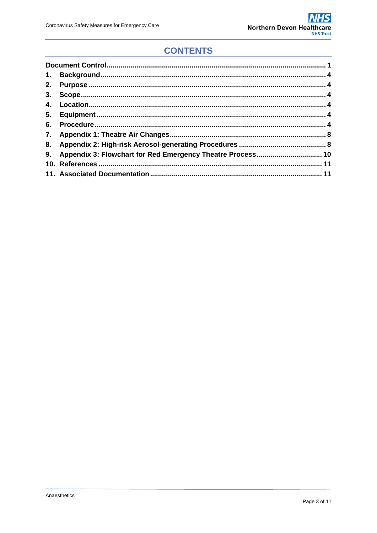# **CONTENTS**

| 6. |  |
|----|--|
|    |  |
|    |  |
|    |  |
|    |  |
|    |  |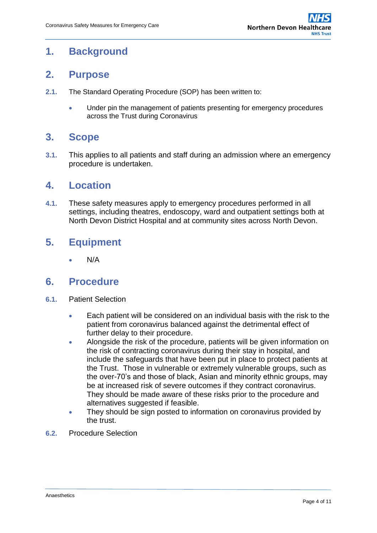# <span id="page-3-0"></span>**1. Background**

### <span id="page-3-1"></span>**2. Purpose**

- **2.1.** The Standard Operating Procedure (SOP) has been written to:
	- Under pin the management of patients presenting for emergency procedures across the Trust during Coronavirus

### <span id="page-3-2"></span>**3. Scope**

**3.1.** This applies to all patients and staff during an admission where an emergency procedure is undertaken.

### <span id="page-3-3"></span>**4. Location**

**4.1.** These safety measures apply to emergency procedures performed in all settings, including theatres, endoscopy, ward and outpatient settings both at North Devon District Hospital and at community sites across North Devon.

## <span id="page-3-4"></span>**5. Equipment**

N/A

### <span id="page-3-5"></span>**6. Procedure**

- **6.1.** Patient Selection
	- Each patient will be considered on an individual basis with the risk to the patient from coronavirus balanced against the detrimental effect of further delay to their procedure.
	- Alongside the risk of the procedure, patients will be given information on the risk of contracting coronavirus during their stay in hospital, and include the safeguards that have been put in place to protect patients at the Trust. Those in vulnerable or extremely vulnerable groups, such as the over-70's and those of black, Asian and minority ethnic groups, may be at increased risk of severe outcomes if they contract coronavirus. They should be made aware of these risks prior to the procedure and alternatives suggested if feasible.
	- They should be sign posted to information on coronavirus provided by the trust.
- **6.2.** Procedure Selection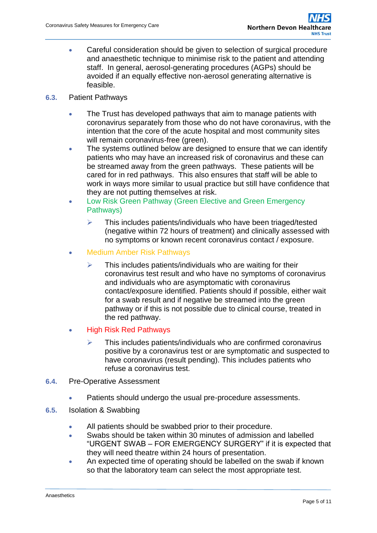- Careful consideration should be given to selection of surgical procedure and anaesthetic technique to minimise risk to the patient and attending staff. In general, aerosol-generating procedures (AGPs) should be avoided if an equally effective non-aerosol generating alternative is feasible.
- **6.3.** Patient Pathways
	- The Trust has developed pathways that aim to manage patients with coronavirus separately from those who do not have coronavirus, with the intention that the core of the acute hospital and most community sites will remain coronavirus-free (green).
	- The systems outlined below are designed to ensure that we can identify patients who may have an increased risk of coronavirus and these can be streamed away from the green pathways. These patients will be cared for in red pathways. This also ensures that staff will be able to work in ways more similar to usual practice but still have confidence that they are not putting themselves at risk.
	- Low Risk Green Pathway (Green Elective and Green Emergency Pathways)
		- $\triangleright$  This includes patients/individuals who have been triaged/tested (negative within 72 hours of treatment) and clinically assessed with no symptoms or known recent coronavirus contact / exposure.
	- Medium Amber Risk Pathways
		- $\triangleright$  This includes patients/individuals who are waiting for their coronavirus test result and who have no symptoms of coronavirus and individuals who are asymptomatic with coronavirus contact/exposure identified. Patients should if possible, either wait for a swab result and if negative be streamed into the green pathway or if this is not possible due to clinical course, treated in the red pathway.
	- High Risk Red Pathways
		- $\triangleright$  This includes patients/individuals who are confirmed coronavirus positive by a coronavirus test or are symptomatic and suspected to have coronavirus (result pending). This includes patients who refuse a coronavirus test.
- **6.4.** Pre-Operative Assessment
	- Patients should undergo the usual pre-procedure assessments.
- **6.5.** Isolation & Swabbing
	- All patients should be swabbed prior to their procedure.
	- Swabs should be taken within 30 minutes of admission and labelled "URGENT SWAB – FOR EMERGENCY SURGERY" if it is expected that they will need theatre within 24 hours of presentation.
	- An expected time of operating should be labelled on the swab if known so that the laboratory team can select the most appropriate test.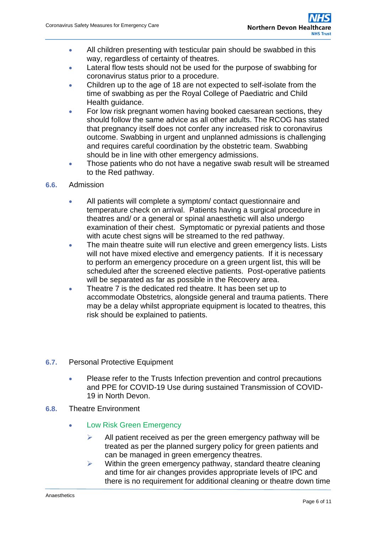- All children presenting with testicular pain should be swabbed in this way, regardless of certainty of theatres.
- Lateral flow tests should not be used for the purpose of swabbing for coronavirus status prior to a procedure.
- Children up to the age of 18 are not expected to self-isolate from the time of swabbing as per the Royal College of Paediatric and Child Health guidance.
- For low risk pregnant women having booked caesarean sections, they should follow the same advice as all other adults. The RCOG has stated that pregnancy itself does not confer any increased risk to coronavirus outcome. Swabbing in urgent and unplanned admissions is challenging and requires careful coordination by the obstetric team. Swabbing should be in line with other emergency admissions.
- Those patients who do not have a negative swab result will be streamed to the Red pathway.
- **6.6.** Admission
	- All patients will complete a symptom/ contact questionnaire and temperature check on arrival. Patients having a surgical procedure in theatres and/ or a general or spinal anaesthetic will also undergo examination of their chest. Symptomatic or pyrexial patients and those with acute chest signs will be streamed to the red pathway.
	- The main theatre suite will run elective and green emergency lists. Lists will not have mixed elective and emergency patients. If it is necessary to perform an emergency procedure on a green urgent list, this will be scheduled after the screened elective patients. Post-operative patients will be separated as far as possible in the Recovery area.
	- Theatre 7 is the dedicated red theatre. It has been set up to accommodate Obstetrics, alongside general and trauma patients. There may be a delay whilst appropriate equipment is located to theatres, this risk should be explained to patients.
- **6.7.** Personal Protective Equipment
	- Please refer to the Trusts Infection prevention and control precautions and PPE for COVID-19 Use during sustained Transmission of COVID-19 in North Devon.
- **6.8.** Theatre Environment
	- Low Risk Green Emergency
		- $\triangleright$  All patient received as per the green emergency pathway will be treated as per the planned surgery policy for green patients and can be managed in green emergency theatres.
		- $\triangleright$  Within the green emergency pathway, standard theatre cleaning and time for air changes provides appropriate levels of IPC and there is no requirement for additional cleaning or theatre down time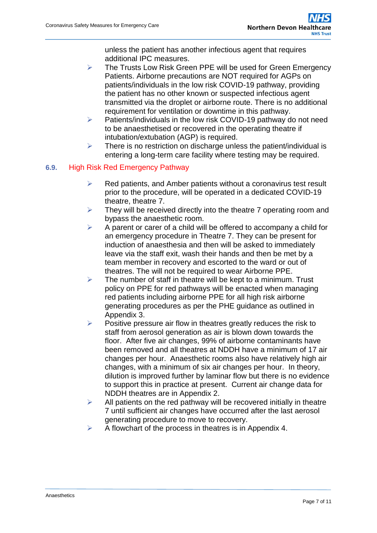unless the patient has another infectious agent that requires additional IPC measures.

- $\triangleright$  The Trusts Low Risk Green PPE will be used for Green Emergency Patients. Airborne precautions are NOT required for AGPs on patients/individuals in the low risk COVID-19 pathway, providing the patient has no other known or suspected infectious agent transmitted via the droplet or airborne route. There is no additional requirement for ventilation or downtime in this pathway.
- $\triangleright$  Patients/individuals in the low risk COVID-19 pathway do not need to be anaesthetised or recovered in the operating theatre if intubation/extubation (AGP) is required.
- $\triangleright$  There is no restriction on discharge unless the patient/individual is entering a long-term care facility where testing may be required.

#### **6.9.** High Risk Red Emergency Pathway

- $\triangleright$  Red patients, and Amber patients without a coronavirus test result prior to the procedure, will be operated in a dedicated COVID-19 theatre, theatre 7.
- $\triangleright$  They will be received directly into the theatre 7 operating room and bypass the anaesthetic room.
- $\triangleright$  A parent or carer of a child will be offered to accompany a child for an emergency procedure in Theatre 7. They can be present for induction of anaesthesia and then will be asked to immediately leave via the staff exit, wash their hands and then be met by a team member in recovery and escorted to the ward or out of theatres. The will not be required to wear Airborne PPE.
- $\triangleright$  The number of staff in theatre will be kept to a minimum. Trust policy on PPE for red pathways will be enacted when managing red patients including airborne PPE for all high risk airborne generating procedures as per the PHE guidance as outlined in Appendix 3.
- $\triangleright$  Positive pressure air flow in theatres greatly reduces the risk to staff from aerosol generation as air is blown down towards the floor. After five air changes, 99% of airborne contaminants have been removed and all theatres at NDDH have a minimum of 17 air changes per hour. Anaesthetic rooms also have relatively high air changes, with a minimum of six air changes per hour. In theory, dilution is improved further by laminar flow but there is no evidence to support this in practice at present. Current air change data for NDDH theatres are in Appendix 2.
- $\triangleright$  All patients on the red pathway will be recovered initially in theatre 7 until sufficient air changes have occurred after the last aerosol generating procedure to move to recovery.
- A flowchart of the process in theatres is in Appendix 4.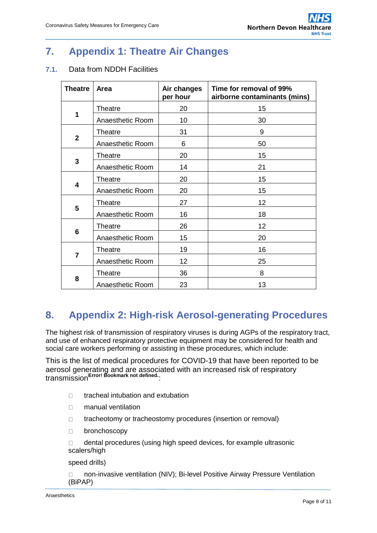# <span id="page-7-0"></span>**7. Appendix 1: Theatre Air Changes**

#### **7.1.** Data from NDDH Facilities

| <b>Theatre</b> | Area             | Air changes<br>per hour | Time for removal of 99%<br>airborne contaminants (mins) |
|----------------|------------------|-------------------------|---------------------------------------------------------|
|                | Theatre          | 20                      | 15                                                      |
| $\mathbf 1$    | Anaesthetic Room | 10                      | 30                                                      |
| $\overline{2}$ | Theatre          | 31                      | 9                                                       |
|                | Anaesthetic Room | 6                       | 50                                                      |
| 3              | Theatre          | 20                      | 15                                                      |
|                | Anaesthetic Room | 14                      | 21                                                      |
| 4              | <b>Theatre</b>   | 20                      | 15                                                      |
|                | Anaesthetic Room | 20                      | 15                                                      |
| 5              | Theatre          | 27                      | 12                                                      |
|                | Anaesthetic Room | 16                      | 18                                                      |
| 6              | Theatre          | 26                      | 12                                                      |
|                | Anaesthetic Room | 15                      | 20                                                      |
| $\overline{7}$ | Theatre          | 19                      | 16                                                      |
|                | Anaesthetic Room | 12                      | 25                                                      |
|                | Theatre          | 36                      | 8                                                       |
| 8              | Anaesthetic Room | 23                      | 13                                                      |

# <span id="page-7-1"></span>**8. Appendix 2: High-risk Aerosol-generating Procedures**

The highest risk of transmission of respiratory viruses is during AGPs of the respiratory tract, and use of enhanced respiratory protective equipment may be considered for health and social care workers performing or assisting in these procedures, which include:

This is the list of medical procedures for COVID-19 that have been reported to be aerosol generating and are associated with an increased risk of respiratory transmission**Error! Bookmark not defined.**:

- □ tracheal intubation and extubation
- **nanual ventilation**
- $\Box$  tracheotomy or tracheostomy procedures (insertion or removal)
- D bronchoscopy

□ dental procedures (using high speed devices, for example ultrasonic scalers/high

speed drills)

□ non-invasive ventilation (NIV); Bi-level Positive Airway Pressure Ventilation (BiPAP)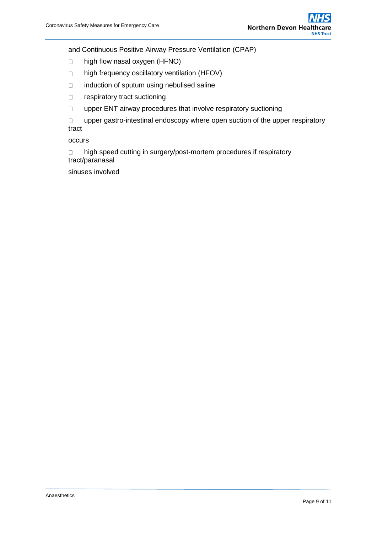and Continuous Positive Airway Pressure Ventilation (CPAP)

- □ high flow nasal oxygen (HFNO)
- □ high frequency oscillatory ventilation (HFOV)
- $\Box$  induction of sputum using nebulised saline
- □ respiratory tract suctioning
- $\square$  upper ENT airway procedures that involve respiratory suctioning

 upper gastro-intestinal endoscopy where open suction of the upper respiratory tract

occurs

□ high speed cutting in surgery/post-mortem procedures if respiratory tract/paranasal

sinuses involved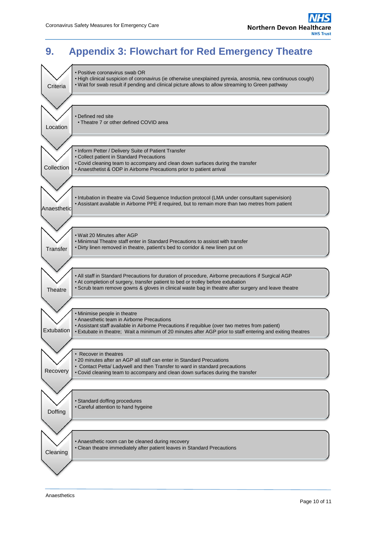# <span id="page-9-0"></span>**9. Appendix 3: Flowchart for Red Emergency Theatre**